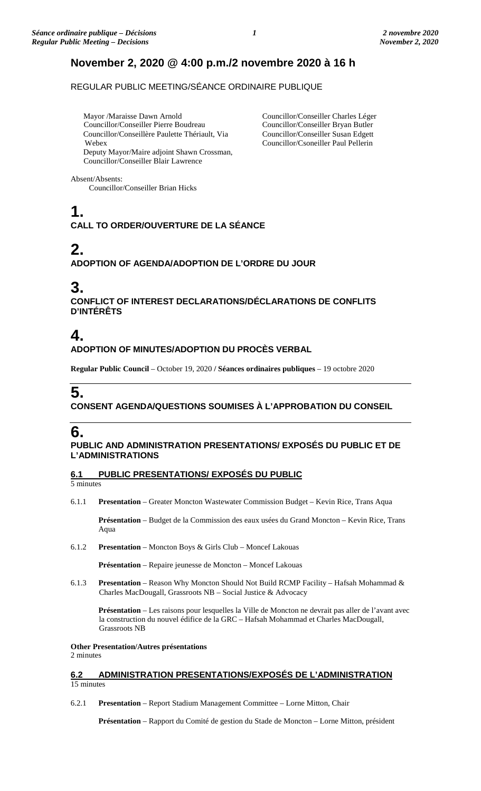### **November 2, 2020 @ 4:00 p.m./2 novembre 2020 à 16 h**

REGULAR PUBLIC MEETING/SÉANCE ORDINAIRE PUBLIQUE

Mayor /Maraisse Dawn Arnold Councillor/Conseiller Pierre Boudreau Councillor/Conseillère Paulette Thériault, Via Webex Deputy Mayor/Maire adjoint Shawn Crossman, Councillor/Conseiller Charles Léger Councillor/Conseiller Bryan Butler Councillor/Conseiller Susan Edgett Councillor/Csoneiller Paul Pellerin

Absent/Absents:

Councillor/Conseiller Brian Hicks

Councillor/Conseiller Blair Lawrence

# **1.**

**CALL TO ORDER/OUVERTURE DE LA SÉANCE**

### **2.**

**ADOPTION OF AGENDA/ADOPTION DE L'ORDRE DU JOUR**

### **3.**

**CONFLICT OF INTEREST DECLARATIONS/DÉCLARATIONS DE CONFLITS D'INTÉRÊTS**

## **4.**

**ADOPTION OF MINUTES/ADOPTION DU PROCÈS VERBAL**

**Regular Public Council** – October 19, 2020 **/ Séances ordinaires publiques** – 19 octobre 2020

# **5.**

**CONSENT AGENDA/QUESTIONS SOUMISES À L'APPROBATION DU CONSEIL**

### **6.**

**PUBLIC AND ADMINISTRATION PRESENTATIONS/ EXPOSÉS DU PUBLIC ET DE L'ADMINISTRATIONS**

#### **6.1 PUBLIC PRESENTATIONS/ EXPOSÉS DU PUBLIC**

5 minutes

6.1.1 **Presentation** – Greater Moncton Wastewater Commission Budget – Kevin Rice, Trans Aqua

**Présentation** – Budget de la Commission des eaux usées du Grand Moncton – Kevin Rice, Trans Aqua

6.1.2 **Presentation** – Moncton Boys & Girls Club – Moncef Lakouas

**Présentation** – Repaire jeunesse de Moncton – Moncef Lakouas

6.1.3 **Presentation** – Reason Why Moncton Should Not Build RCMP Facility – Hafsah Mohammad & Charles MacDougall, Grassroots NB – Social Justice & Advocacy

**Présentation** – Les raisons pour lesquelles la Ville de Moncton ne devrait pas aller de l'avant avec la construction du nouvel édifice de la GRC – Hafsah Mohammad et Charles MacDougall, Grassroots NB

**Other Presentation/Autres présentations** 2 minutes

**6.2 ADMINISTRATION PRESENTATIONS/EXPOSÉS DE L'ADMINISTRATION** 15 minutes

6.2.1 **Presentation** – Report Stadium Management Committee – Lorne Mitton, Chair

**Présentation** – Rapport du Comité de gestion du Stade de Moncton – Lorne Mitton, président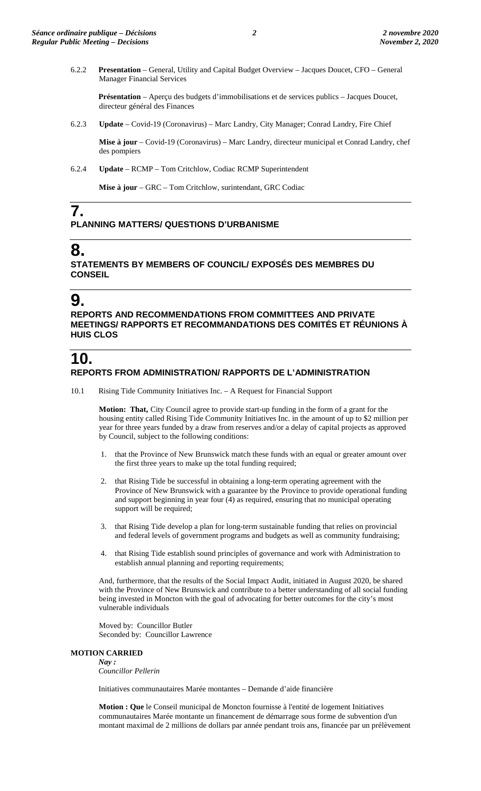6.2.2 **Presentation** – General, Utility and Capital Budget Overview – Jacques Doucet, CFO – General Manager Financial Services

**Présentation** – Aperçu des budgets d'immobilisations et de services publics – Jacques Doucet, directeur général des Finances

6.2.3 **Update** – Covid-19 (Coronavirus) – Marc Landry, City Manager; Conrad Landry, Fire Chief

**Mise à jour** – Covid-19 (Coronavirus) – Marc Landry, directeur municipal et Conrad Landry, chef des pompiers

6.2.4 **Update** – RCMP – Tom Critchlow, Codiac RCMP Superintendent

**Mise à jour** – GRC – Tom Critchlow, surintendant, GRC Codiac

#### **7. PLANNING MATTERS/ QUESTIONS D'URBANISME**

# **8.**

**STATEMENTS BY MEMBERS OF COUNCIL/ EXPOSÉS DES MEMBRES DU CONSEIL**

### **9.**

**REPORTS AND RECOMMENDATIONS FROM COMMITTEES AND PRIVATE MEETINGS/ RAPPORTS ET RECOMMANDATIONS DES COMITÉS ET RÉUNIONS À HUIS CLOS**

### **10. REPORTS FROM ADMINISTRATION/ RAPPORTS DE L'ADMINISTRATION**

10.1 Rising Tide Community Initiatives Inc. – A Request for Financial Support

**Motion: That,** City Council agree to provide start-up funding in the form of a grant for the housing entity called Rising Tide Community Initiatives Inc. in the amount of up to \$2 million per year for three years funded by a draw from reserves and/or a delay of capital projects as approved by Council, subject to the following conditions:

- 1. that the Province of New Brunswick match these funds with an equal or greater amount over the first three years to make up the total funding required;
- 2. that Rising Tide be successful in obtaining a long-term operating agreement with the Province of New Brunswick with a guarantee by the Province to provide operational funding and support beginning in year four (4) as required, ensuring that no municipal operating support will be required;
- 3. that Rising Tide develop a plan for long-term sustainable funding that relies on provincial and federal levels of government programs and budgets as well as community fundraising;
- 4. that Rising Tide establish sound principles of governance and work with Administration to establish annual planning and reporting requirements;

And, furthermore, that the results of the Social Impact Audit, initiated in August 2020, be shared with the Province of New Brunswick and contribute to a better understanding of all social funding being invested in Moncton with the goal of advocating for better outcomes for the city's most vulnerable individuals

Moved by: Councillor Butler Seconded by: Councillor Lawrence

#### **MOTION CARRIED**

*Nay : Councillor Pellerin*

Initiatives communautaires Marée montantes – Demande d'aide financière

**Motion : Que** le Conseil municipal de Moncton fournisse à l'entité de logement Initiatives communautaires Marée montante un financement de démarrage sous forme de subvention d'un montant maximal de 2 millions de dollars par année pendant trois ans, financée par un prélèvement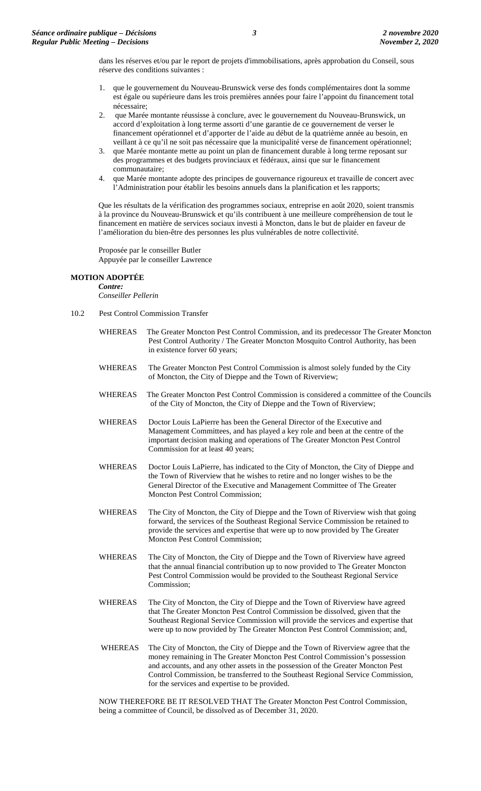dans les réserves et/ou par le report de projets d'immobilisations, après approbation du Conseil, sous réserve des conditions suivantes :

- 1. que le gouvernement du Nouveau-Brunswick verse des fonds complémentaires dont la somme est égale ou supérieure dans les trois premières années pour faire l'appoint du financement total nécessaire;
- 2. que Marée montante réussisse à conclure, avec le gouvernement du Nouveau-Brunswick, un accord d'exploitation à long terme assorti d'une garantie de ce gouvernement de verser le financement opérationnel et d'apporter de l'aide au début de la quatrième année au besoin, en veillant à ce qu'il ne soit pas nécessaire que la municipalité verse de financement opérationnel;
- 3. que Marée montante mette au point un plan de financement durable à long terme reposant sur des programmes et des budgets provinciaux et fédéraux, ainsi que sur le financement communautaire;
- 4. que Marée montante adopte des principes de gouvernance rigoureux et travaille de concert avec l'Administration pour établir les besoins annuels dans la planification et les rapports;

Que les résultats de la vérification des programmes sociaux, entreprise en août 2020, soient transmis à la province du Nouveau-Brunswick et qu'ils contribuent à une meilleure compréhension de tout le financement en matière de services sociaux investi à Moncton, dans le but de plaider en faveur de l'amélioration du bien-être des personnes les plus vulnérables de notre collectivité.

Proposée par le conseiller Butler Appuyée par le conseiller Lawrence

#### **MOTION ADOPTÉE**

*Contre: Conseiller Pellerin*

- 10.2 Pest Control Commission Transfer
	- WHEREAS The Greater Moncton Pest Control Commission, and its predecessor The Greater Moncton Pest Control Authority / The Greater Moncton Mosquito Control Authority, has been in existence forver 60 years;
	- WHEREAS The Greater Moncton Pest Control Commission is almost solely funded by the City of Moncton, the City of Dieppe and the Town of Riverview;
	- WHEREAS The Greater Moncton Pest Control Commission is considered a committee of the Councils of the City of Moncton, the City of Dieppe and the Town of Riverview;
	- WHEREAS Doctor Louis LaPierre has been the General Director of the Executive and Management Committees, and has played a key role and been at the centre of the important decision making and operations of The Greater Moncton Pest Control Commission for at least 40 years;
	- WHEREAS Doctor Louis LaPierre, has indicated to the City of Moncton, the City of Dieppe and the Town of Riverview that he wishes to retire and no longer wishes to be the General Director of the Executive and Management Committee of The Greater Moncton Pest Control Commission;
	- WHEREAS The City of Moncton, the City of Dieppe and the Town of Riverview wish that going forward, the services of the Southeast Regional Service Commission be retained to provide the services and expertise that were up to now provided by The Greater Moncton Pest Control Commission;
	- WHEREAS The City of Moncton, the City of Dieppe and the Town of Riverview have agreed that the annual financial contribution up to now provided to The Greater Moncton Pest Control Commission would be provided to the Southeast Regional Service Commission;
	- WHEREAS The City of Moncton, the City of Dieppe and the Town of Riverview have agreed that The Greater Moncton Pest Control Commission be dissolved, given that the Southeast Regional Service Commission will provide the services and expertise that were up to now provided by The Greater Moncton Pest Control Commission; and,
	- WHEREAS The City of Moncton, the City of Dieppe and the Town of Riverview agree that the money remaining in The Greater Moncton Pest Control Commission's possession and accounts, and any other assets in the possession of the Greater Moncton Pest Control Commission, be transferred to the Southeast Regional Service Commission, for the services and expertise to be provided.

NOW THEREFORE BE IT RESOLVED THAT The Greater Moncton Pest Control Commission, being a committee of Council, be dissolved as of December 31, 2020.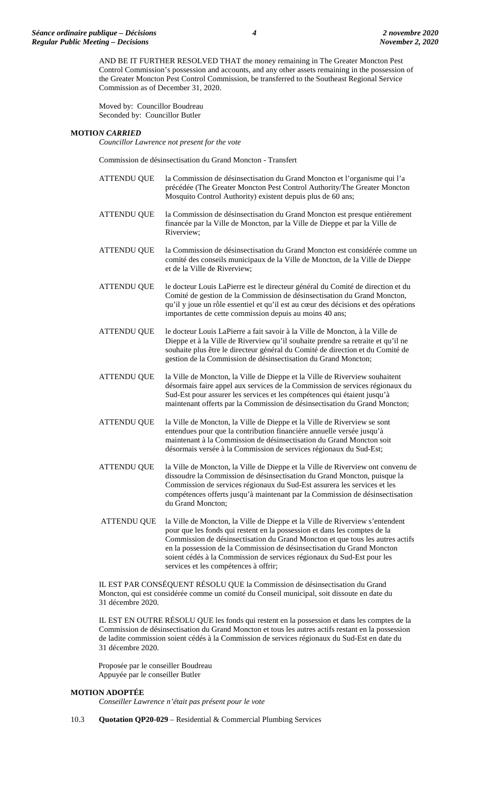AND BE IT FURTHER RESOLVED THAT the money remaining in The Greater Moncton Pest Control Commission's possession and accounts, and any other assets remaining in the possession of the Greater Moncton Pest Control Commission, be transferred to the Southeast Regional Service Commission as of December 31, 2020.

Moved by: Councillor Boudreau Seconded by: Councillor Butler

#### **MOTIO***N CARRIED*

*Councillor Lawrence not present for the vote*

Commission de désinsectisation du Grand Moncton - Transfert

- ATTENDU QUE la Commission de désinsectisation du Grand Moncton et l'organisme qui l'a précédée (The Greater Moncton Pest Control Authority/The Greater Moncton Mosquito Control Authority) existent depuis plus de 60 ans; ATTENDU QUE la Commission de désinsectisation du Grand Moncton est presque entièrement financée par la Ville de Moncton, par la Ville de Dieppe et par la Ville de Riverview; ATTENDU QUE la Commission de désinsectisation du Grand Moncton est considérée comme un comité des conseils municipaux de la Ville de Moncton, de la Ville de Dieppe et de la Ville de Riverview; ATTENDU QUE le docteur Louis LaPierre est le directeur général du Comité de direction et du Comité de gestion de la Commission de désinsectisation du Grand Moncton, qu'il y joue un rôle essentiel et qu'il est au cœur des décisions et des opérations importantes de cette commission depuis au moins 40 ans; ATTENDU QUE le docteur Louis LaPierre a fait savoir à la Ville de Moncton, à la Ville de Dieppe et à la Ville de Riverview qu'il souhaite prendre sa retraite et qu'il ne souhaite plus être le directeur général du Comité de direction et du Comité de gestion de la Commission de désinsectisation du Grand Moncton; ATTENDU QUE la Ville de Moncton, la Ville de Dieppe et la Ville de Riverview souhaitent désormais faire appel aux services de la Commission de services régionaux du Sud-Est pour assurer les services et les compétences qui étaient jusqu'à maintenant offerts par la Commission de désinsectisation du Grand Moncton; ATTENDU QUE la Ville de Moncton, la Ville de Dieppe et la Ville de Riverview se sont entendues pour que la contribution financière annuelle versée jusqu'à maintenant à la Commission de désinsectisation du Grand Moncton soit désormais versée à la Commission de services régionaux du Sud-Est; ATTENDU QUE la Ville de Moncton, la Ville de Dieppe et la Ville de Riverview ont convenu de dissoudre la Commission de désinsectisation du Grand Moncton, puisque la Commission de services régionaux du Sud-Est assurera les services et les compétences offerts jusqu'à maintenant par la Commission de désinsectisation du Grand Moncton;
- ATTENDU QUE la Ville de Moncton, la Ville de Dieppe et la Ville de Riverview s'entendent pour que les fonds qui restent en la possession et dans les comptes de la Commission de désinsectisation du Grand Moncton et que tous les autres actifs en la possession de la Commission de désinsectisation du Grand Moncton soient cédés à la Commission de services régionaux du Sud-Est pour les services et les compétences à offrir;

IL EST PAR CONSÉQUENT RÉSOLU QUE la Commission de désinsectisation du Grand Moncton, qui est considérée comme un comité du Conseil municipal, soit dissoute en date du 31 décembre 2020.

IL EST EN OUTRE RÉSOLU QUE les fonds qui restent en la possession et dans les comptes de la Commission de désinsectisation du Grand Moncton et tous les autres actifs restant en la possession de ladite commission soient cédés à la Commission de services régionaux du Sud-Est en date du 31 décembre 2020.

Proposée par le conseiller Boudreau Appuyée par le conseiller Butler

#### **MOTION ADOPTÉE**

*Conseiller Lawrence n'était pas présent pour le vote*

10.3 **Quotation QP20-029** – Residential & Commercial Plumbing Services